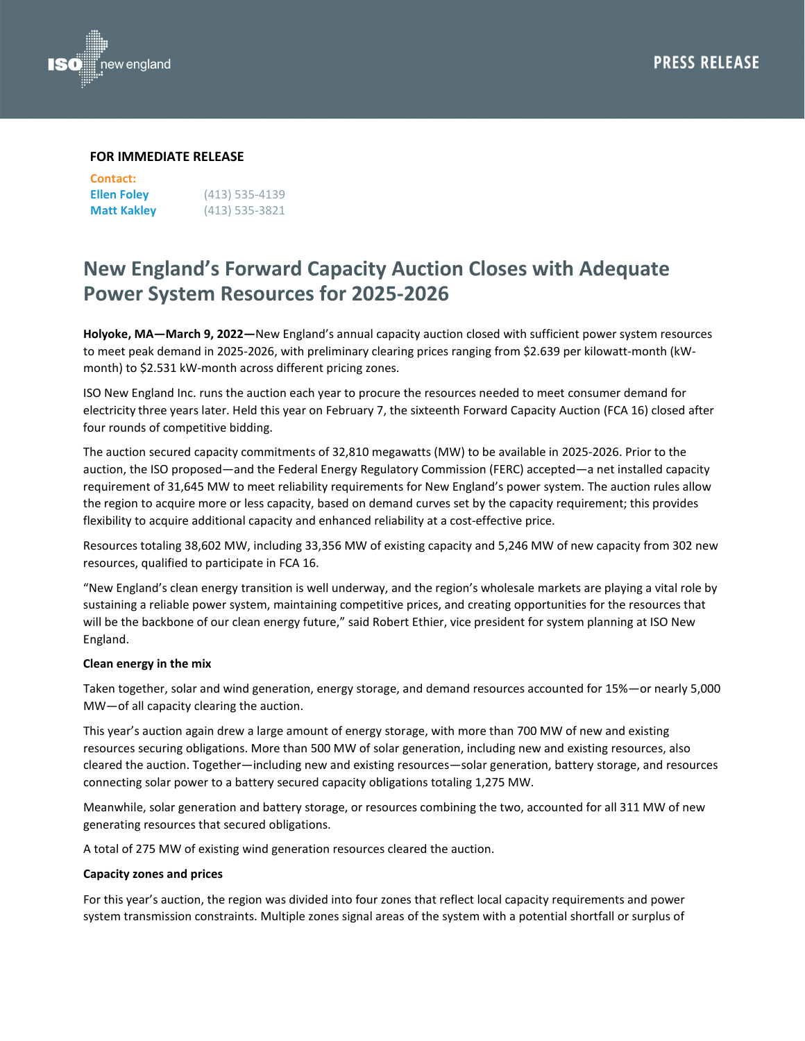



### **FOR IMMEDIATE RELEASE**

| Contact:           |                  |
|--------------------|------------------|
| <b>Ellen Foley</b> | $(413)$ 535-4139 |
| <b>Matt Kakley</b> | $(413)$ 535-3821 |

# **New England's Forward Capacity Auction Closes with Adequate Power System Resources for 2025-2026**

**Holyoke, MA—March 9, 2022—**New England's annual capacity auction closed with sufficient power system resources to meet peak demand in 2025-2026, with preliminary clearing prices ranging from \$2.639 per kilowatt-month (kWmonth) to \$2.531 kW-month across different pricing zones.

ISO New England Inc. runs the auction each year to procure the resources needed to meet consumer demand for electricity three years later. Held this year on February 7, the sixteenth Forward Capacity Auction (FCA 16) closed after four rounds of competitive bidding.

The auction secured capacity commitments of 32,810 megawatts (MW) to be available in 2025-2026. Prior to the auction, the ISO proposed—and the Federal Energy Regulatory Commission (FERC) accepted—a net installed capacity requirement of 31,645 MW to meet reliability requirements for New England's power system. The auction rules allow the region to acquire more or less capacity, based on demand curves set by the capacity requirement; this provides flexibility to acquire additional capacity and enhanced reliability at a cost-effective price.

Resources totaling 38,602 MW, including 33,356 MW of existing capacity and 5,246 MW of new capacity from 302 new resources, qualified to participate in FCA 16.

"New England's clean energy transition is well underway, and the region's wholesale markets are playing a vital role by sustaining a reliable power system, maintaining competitive prices, and creating opportunities for the resources that will be the backbone of our clean energy future," said Robert Ethier, vice president for system planning at ISO New England.

## **Clean energy in the mix**

Taken together, solar and wind generation, energy storage, and demand resources accounted for 15%—or nearly 5,000 MW—of all capacity clearing the auction.

This year's auction again drew a large amount of energy storage, with more than 700 MW of new and existing resources securing obligations. More than 500 MW of solar generation, including new and existing resources, also cleared the auction. Together—including new and existing resources—solar generation, battery storage, and resources connecting solar power to a battery secured capacity obligations totaling 1,275 MW.

Meanwhile, solar generation and battery storage, or resources combining the two, accounted for all 311 MW of new generating resources that secured obligations.

A total of 275 MW of existing wind generation resources cleared the auction.

## **Capacity zones and prices**

For this year's auction, the region was divided into four zones that reflect local capacity requirements and power system transmission constraints. Multiple zones signal areas of the system with a potential shortfall or surplus of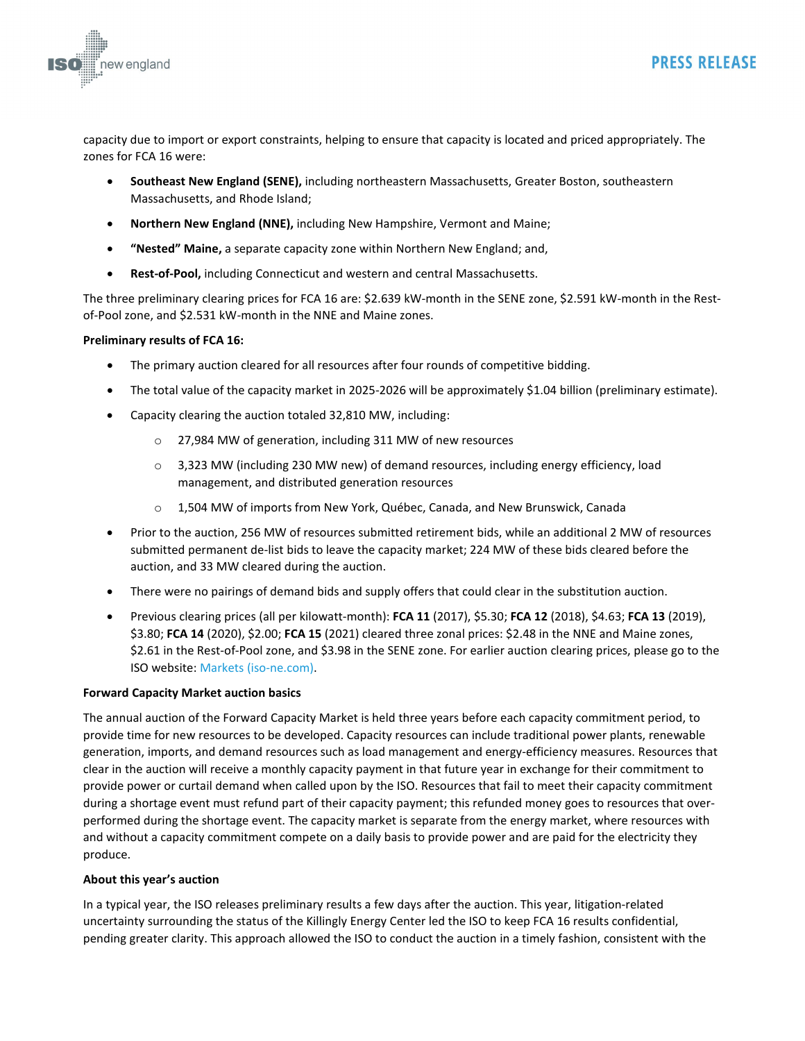

capacity due to import or export constraints, helping to ensure that capacity is located and priced appropriately. The zones for FCA 16 were:

- **Southeast New England (SENE),** including northeastern Massachusetts, Greater Boston, southeastern Massachusetts, and Rhode Island;
- **Northern New England (NNE),** including New Hampshire, Vermont and Maine;
- **"Nested" Maine,** a separate capacity zone within Northern New England; and,
- **Rest-of-Pool,** including Connecticut and western and central Massachusetts.

The three preliminary clearing prices for FCA 16 are: \$2.639 kW-month in the SENE zone, \$2.591 kW-month in the Restof-Pool zone, and \$2.531 kW-month in the NNE and Maine zones.

# **Preliminary results of FCA 16:**

- The primary auction cleared for all resources after four rounds of competitive bidding.
- The total value of the capacity market in 2025-2026 will be approximately \$1.04 billion (preliminary estimate).
- Capacity clearing the auction totaled 32,810 MW, including:
	- o 27,984 MW of generation, including 311 MW of new resources
	- $\circ$  3,323 MW (including 230 MW new) of demand resources, including energy efficiency, load management, and distributed generation resources
	- o 1,504 MW of imports from New York, Québec, Canada, and New Brunswick, Canada
- Prior to the auction, 256 MW of resources submitted retirement bids, while an additional 2 MW of resources submitted permanent de-list bids to leave the capacity market; 224 MW of these bids cleared before the auction, and 33 MW cleared during the auction.
- There were no pairings of demand bids and supply offers that could clear in the substitution auction.
- Previous clearing prices (all per kilowatt-month): **FCA 11** (2017), \$5.30; **FCA 12** (2018), \$4.63; **FCA 13** (2019), \$3.80; **FCA 14** (2020), \$2.00; **FCA 15** (2021) cleared three zonal prices: \$2.48 in the NNE and Maine zones, \$2.61 in the Rest-of-Pool zone, and \$3.98 in the SENE zone. For earlier auction clearing prices, please go to the ISO website: [Markets \(iso-ne.com\).](https://www.iso-ne.com/about/key-stats/markets/)

## **Forward Capacity Market auction basics**

The annual auction of the Forward Capacity Market is held three years before each capacity commitment period, to provide time for new resources to be developed. Capacity resources can include traditional power plants, renewable generation, imports, and demand resources such as load management and energy-efficiency measures. Resources that clear in the auction will receive a monthly capacity payment in that future year in exchange for their commitment to provide power or curtail demand when called upon by the ISO. Resources that fail to meet their capacity commitment during a shortage event must refund part of their capacity payment; this refunded money goes to resources that overperformed during the shortage event. The capacity market is separate from the energy market, where resources with and without a capacity commitment compete on a daily basis to provide power and are paid for the electricity they produce.

## **About this year's auction**

In a typical year, the ISO releases preliminary results a few days after the auction. This year, litigation-related uncertainty surrounding the status of the Killingly Energy Center led the ISO to keep FCA 16 results confidential, pending greater clarity. This approach allowed the ISO to conduct the auction in a timely fashion, consistent with the